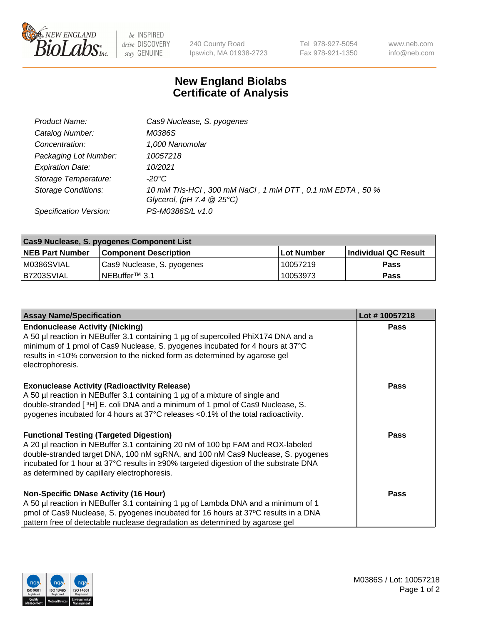

 $be$  INSPIRED drive DISCOVERY stay GENUINE

240 County Road Ipswich, MA 01938-2723 Tel 978-927-5054 Fax 978-921-1350 www.neb.com info@neb.com

## **New England Biolabs Certificate of Analysis**

| Product Name:                 | Cas9 Nuclease, S. pyogenes                               |
|-------------------------------|----------------------------------------------------------|
| Catalog Number:               | M0386S                                                   |
| Concentration:                | 1,000 Nanomolar                                          |
| Packaging Lot Number:         | 10057218                                                 |
| <b>Expiration Date:</b>       | 10/2021                                                  |
| Storage Temperature:          | -20°C                                                    |
| <b>Storage Conditions:</b>    | 10 mM Tris-HCl, 300 mM NaCl, 1 mM DTT, 0.1 mM EDTA, 50 % |
|                               | Glycerol, (pH 7.4 $@25°C$ )                              |
| <b>Specification Version:</b> | PS-M0386S/L v1.0                                         |

| Cas9 Nuclease, S. pyogenes Component List |                              |                   |                      |  |  |
|-------------------------------------------|------------------------------|-------------------|----------------------|--|--|
| <b>NEB Part Number</b>                    | <b>Component Description</b> | <b>Lot Number</b> | Individual QC Result |  |  |
| IM0386SVIAL                               | Cas9 Nuclease, S. pyogenes   | 10057219          | <b>Pass</b>          |  |  |
| B7203SVIAL                                | INEBuffer™ 3.1               | 10053973          | <b>Pass</b>          |  |  |

| <b>Assay Name/Specification</b>                                                                                                                                                                                                                                                                                                                              | Lot #10057218 |
|--------------------------------------------------------------------------------------------------------------------------------------------------------------------------------------------------------------------------------------------------------------------------------------------------------------------------------------------------------------|---------------|
| <b>Endonuclease Activity (Nicking)</b><br>A 50 µl reaction in NEBuffer 3.1 containing 1 µg of supercoiled PhiX174 DNA and a<br>minimum of 1 pmol of Cas9 Nuclease, S. pyogenes incubated for 4 hours at 37°C<br>results in <10% conversion to the nicked form as determined by agarose gel<br>electrophoresis.                                               | <b>Pass</b>   |
| <b>Exonuclease Activity (Radioactivity Release)</b><br>A 50 µl reaction in NEBuffer 3.1 containing 1 µg of a mixture of single and<br>double-stranded [ <sup>3</sup> H] E. coli DNA and a minimum of 1 pmol of Cas9 Nuclease, S.<br>pyogenes incubated for 4 hours at 37°C releases <0.1% of the total radioactivity.                                        | <b>Pass</b>   |
| <b>Functional Testing (Targeted Digestion)</b><br>A 20 µl reaction in NEBuffer 3.1 containing 20 nM of 100 bp FAM and ROX-labeled<br>double-stranded target DNA, 100 nM sgRNA, and 100 nM Cas9 Nuclease, S. pyogenes<br> incubated for 1 hour at 37°C results in ≥90% targeted digestion of the substrate DNA<br>as determined by capillary electrophoresis. | <b>Pass</b>   |
| <b>Non-Specific DNase Activity (16 Hour)</b><br>A 50 µl reaction in NEBuffer 3.1 containing 1 µg of Lambda DNA and a minimum of 1<br>pmol of Cas9 Nuclease, S. pyogenes incubated for 16 hours at 37°C results in a DNA<br>pattern free of detectable nuclease degradation as determined by agarose gel                                                      | <b>Pass</b>   |